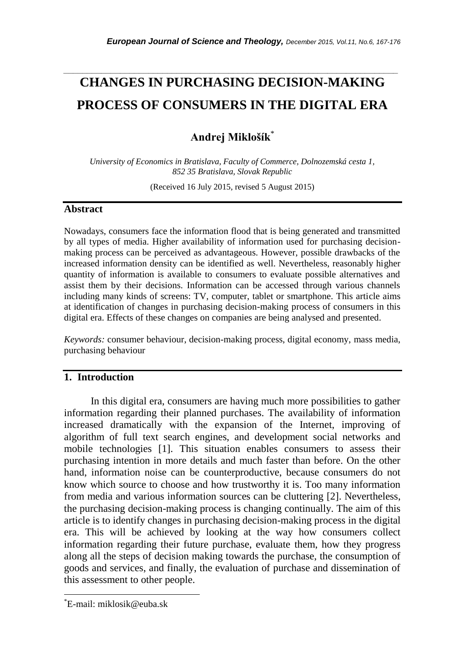# **CHANGES IN PURCHASING DECISION-MAKING PROCESS OF CONSUMERS IN THE DIGITAL ERA**

*\_\_\_\_\_\_\_\_\_\_\_\_\_\_\_\_\_\_\_\_\_\_\_\_\_\_\_\_\_\_\_\_\_\_\_\_\_\_\_\_\_\_\_\_\_\_\_\_\_\_\_\_\_\_\_\_\_\_\_\_\_\_\_\_\_\_\_\_\_\_\_*

## **Andrej Miklošík**\*

*University of Economics in Bratislava, Faculty of Commerce, Dolnozemská cesta 1, 852 35 Bratislava, Slovak Republic*

(Received 16 July 2015, revised 5 August 2015)

#### **Abstract**

Nowadays, consumers face the information flood that is being generated and transmitted by all types of media. Higher availability of information used for purchasing decisionmaking process can be perceived as advantageous. However, possible drawbacks of the increased information density can be identified as well. Nevertheless, reasonably higher quantity of information is available to consumers to evaluate possible alternatives and assist them by their decisions. Information can be accessed through various channels including many kinds of screens: TV, computer, tablet or smartphone. This article aims at identification of changes in purchasing decision-making process of consumers in this digital era. Effects of these changes on companies are being analysed and presented.

*Keywords:* consumer behaviour, decision-making process, digital economy, mass media, purchasing behaviour

## **1. Introduction**

In this digital era, consumers are having much more possibilities to gather information regarding their planned purchases. The availability of information increased dramatically with the expansion of the Internet, improving of algorithm of full text search engines, and development social networks and mobile technologies [1]. This situation enables consumers to assess their purchasing intention in more details and much faster than before. On the other hand, information noise can be counterproductive, because consumers do not know which source to choose and how trustworthy it is. Too many information from media and various information sources can be cluttering [2]. Nevertheless, the purchasing decision-making process is changing continually. The aim of this article is to identify changes in purchasing decision-making process in the digital era. This will be achieved by looking at the way how consumers collect information regarding their future purchase, evaluate them, how they progress along all the steps of decision making towards the purchase, the consumption of goods and services, and finally, the evaluation of purchase and dissemination of this assessment to other people.

l

<sup>\*</sup>E-mail: miklosik@euba.sk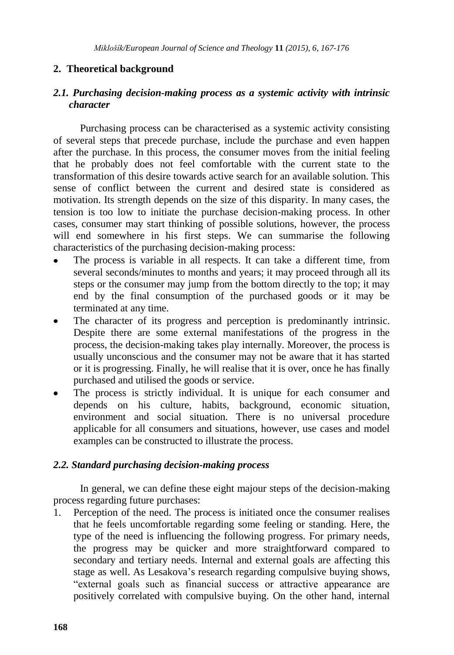## **2. Theoretical background**

## *2.1. Purchasing decision-making process as a systemic activity with intrinsic character*

Purchasing process can be characterised as a systemic activity consisting of several steps that precede purchase, include the purchase and even happen after the purchase. In this process, the consumer moves from the initial feeling that he probably does not feel comfortable with the current state to the transformation of this desire towards active search for an available solution. This sense of conflict between the current and desired state is considered as motivation. Its strength depends on the size of this disparity. In many cases, the tension is too low to initiate the purchase decision-making process. In other cases, consumer may start thinking of possible solutions, however, the process will end somewhere in his first steps. We can summarise the following characteristics of the purchasing decision-making process:

- The process is variable in all respects. It can take a different time, from several seconds/minutes to months and years; it may proceed through all its steps or the consumer may jump from the bottom directly to the top; it may end by the final consumption of the purchased goods or it may be terminated at any time.
- The character of its progress and perception is predominantly intrinsic.  $\bullet$ Despite there are some external manifestations of the progress in the process, the decision-making takes play internally. Moreover, the process is usually unconscious and the consumer may not be aware that it has started or it is progressing. Finally, he will realise that it is over, once he has finally purchased and utilised the goods or service.
- The process is strictly individual. It is unique for each consumer and depends on his culture, habits, background, economic situation, environment and social situation. There is no universal procedure applicable for all consumers and situations, however, use cases and model examples can be constructed to illustrate the process.

## *2.2. Standard purchasing decision-making process*

In general, we can define these eight majour steps of the decision-making process regarding future purchases:

1. Perception of the need. The process is initiated once the consumer realises that he feels uncomfortable regarding some feeling or standing. Here, the type of the need is influencing the following progress. For primary needs, the progress may be quicker and more straightforward compared to secondary and tertiary needs. Internal and external goals are affecting this stage as well. As Lesakova"s research regarding compulsive buying shows, "external goals such as financial success or attractive appearance are positively correlated with compulsive buying. On the other hand, internal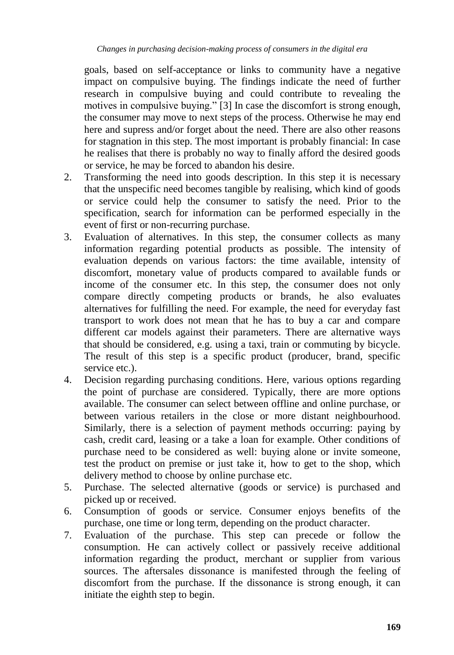goals, based on self-acceptance or links to community have a negative impact on compulsive buying. The findings indicate the need of further research in compulsive buying and could contribute to revealing the motives in compulsive buying." [3] In case the discomfort is strong enough, the consumer may move to next steps of the process. Otherwise he may end here and supress and/or forget about the need. There are also other reasons for stagnation in this step. The most important is probably financial: In case he realises that there is probably no way to finally afford the desired goods or service, he may be forced to abandon his desire.

- 2. Transforming the need into goods description. In this step it is necessary that the unspecific need becomes tangible by realising, which kind of goods or service could help the consumer to satisfy the need. Prior to the specification, search for information can be performed especially in the event of first or non-recurring purchase.
- 3. Evaluation of alternatives. In this step, the consumer collects as many information regarding potential products as possible. The intensity of evaluation depends on various factors: the time available, intensity of discomfort, monetary value of products compared to available funds or income of the consumer etc. In this step, the consumer does not only compare directly competing products or brands, he also evaluates alternatives for fulfilling the need. For example, the need for everyday fast transport to work does not mean that he has to buy a car and compare different car models against their parameters. There are alternative ways that should be considered, e.g. using a taxi, train or commuting by bicycle. The result of this step is a specific product (producer, brand, specific service etc.).
- 4. Decision regarding purchasing conditions. Here, various options regarding the point of purchase are considered. Typically, there are more options available. The consumer can select between offline and online purchase, or between various retailers in the close or more distant neighbourhood. Similarly, there is a selection of payment methods occurring: paying by cash, credit card, leasing or a take a loan for example. Other conditions of purchase need to be considered as well: buying alone or invite someone, test the product on premise or just take it, how to get to the shop, which delivery method to choose by online purchase etc.
- 5. Purchase. The selected alternative (goods or service) is purchased and picked up or received.
- 6. Consumption of goods or service. Consumer enjoys benefits of the purchase, one time or long term, depending on the product character.
- 7. Evaluation of the purchase. This step can precede or follow the consumption. He can actively collect or passively receive additional information regarding the product, merchant or supplier from various sources. The aftersales dissonance is manifested through the feeling of discomfort from the purchase. If the dissonance is strong enough, it can initiate the eighth step to begin.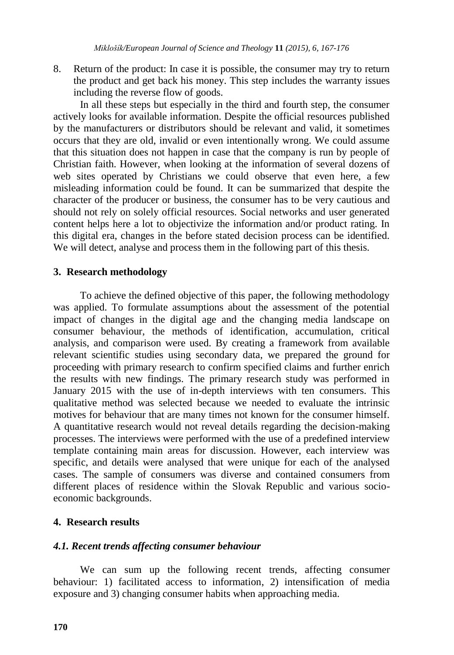8. Return of the product: In case it is possible, the consumer may try to return the product and get back his money. This step includes the warranty issues including the reverse flow of goods.

In all these steps but especially in the third and fourth step, the consumer actively looks for available information. Despite the official resources published by the manufacturers or distributors should be relevant and valid, it sometimes occurs that they are old, invalid or even intentionally wrong. We could assume that this situation does not happen in case that the company is run by people of Christian faith. However, when looking at the information of several dozens of web sites operated by Christians we could observe that even here, a few misleading information could be found. It can be summarized that despite the character of the producer or business, the consumer has to be very cautious and should not rely on solely official resources. Social networks and user generated content helps here a lot to objectivize the information and/or product rating. In this digital era, changes in the before stated decision process can be identified. We will detect, analyse and process them in the following part of this thesis.

## **3. Research methodology**

To achieve the defined objective of this paper, the following methodology was applied. To formulate assumptions about the assessment of the potential impact of changes in the digital age and the changing media landscape on consumer behaviour, the methods of identification, accumulation, critical analysis, and comparison were used. By creating a framework from available relevant scientific studies using secondary data, we prepared the ground for proceeding with primary research to confirm specified claims and further enrich the results with new findings. The primary research study was performed in January 2015 with the use of in-depth interviews with ten consumers. This qualitative method was selected because we needed to evaluate the intrinsic motives for behaviour that are many times not known for the consumer himself. A quantitative research would not reveal details regarding the decision-making processes. The interviews were performed with the use of a predefined interview template containing main areas for discussion. However, each interview was specific, and details were analysed that were unique for each of the analysed cases. The sample of consumers was diverse and contained consumers from different places of residence within the Slovak Republic and various socioeconomic backgrounds.

## **4. Research results**

#### *4.1. Recent trends affecting consumer behaviour*

We can sum up the following recent trends, affecting consumer behaviour: 1) facilitated access to information, 2) intensification of media exposure and 3) changing consumer habits when approaching media.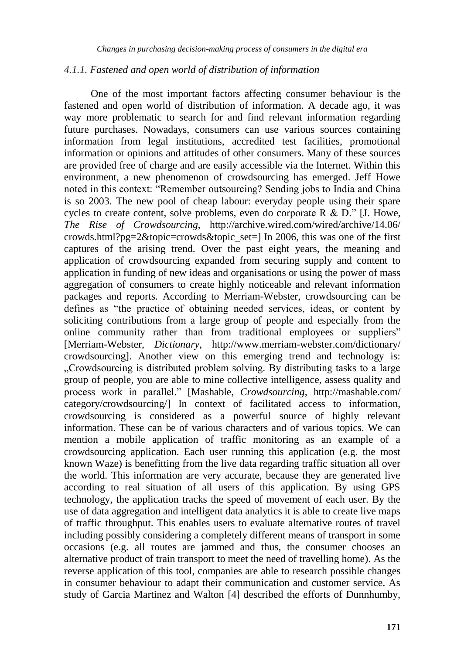#### *4.1.1. Fastened and open world of distribution of information*

One of the most important factors affecting consumer behaviour is the fastened and open world of distribution of information. A decade ago, it was way more problematic to search for and find relevant information regarding future purchases. Nowadays, consumers can use various sources containing information from legal institutions, accredited test facilities, promotional information or opinions and attitudes of other consumers. Many of these sources are provided free of charge and are easily accessible via the Internet. Within this environment, a new phenomenon of crowdsourcing has emerged. Jeff Howe noted in this context: "Remember outsourcing? Sending jobs to India and China is so 2003. The new pool of cheap labour: everyday people using their spare cycles to create content, solve problems, even do corporate  $R \& D$ ." [J. Howe, *The Rise of Crowdsourcing*, http://archive.wired.com/wired/archive/14.06/ crowds.html?pg=2&topic=crowds&topic\_set=] In 2006, this was one of the first captures of the arising trend. Over the past eight years, the meaning and application of crowdsourcing expanded from securing supply and content to application in funding of new ideas and organisations or using the power of mass aggregation of consumers to create highly noticeable and relevant information packages and reports. According to Merriam-Webster, crowdsourcing can be defines as "the practice of obtaining needed services, ideas, or content by soliciting contributions from a large group of people and especially from the online community rather than from traditional employees or suppliers" [Merriam-Webster, *Dictionary*, http://www.merriam-webster.com/dictionary/ crowdsourcing]. Another view on this emerging trend and technology is: "Crowdsourcing is distributed problem solving. By distributing tasks to a large group of people, you are able to mine collective intelligence, assess quality and process work in parallel." [Mashable, *Crowdsourcing*, http://mashable.com/ category/crowdsourcing/] In context of facilitated access to information, crowdsourcing is considered as a powerful source of highly relevant information. These can be of various characters and of various topics. We can mention a mobile application of traffic monitoring as an example of a crowdsourcing application. Each user running this application (e.g. the most known Waze) is benefitting from the live data regarding traffic situation all over the world. This information are very accurate, because they are generated live according to real situation of all users of this application. By using GPS technology, the application tracks the speed of movement of each user. By the use of data aggregation and intelligent data analytics it is able to create live maps of traffic throughput. This enables users to evaluate alternative routes of travel including possibly considering a completely different means of transport in some occasions (e.g. all routes are jammed and thus, the consumer chooses an alternative product of train transport to meet the need of travelling home). As the reverse application of this tool, companies are able to research possible changes in consumer behaviour to adapt their communication and customer service. As study of Garcia Martinez and Walton [4] described the efforts of Dunnhumby,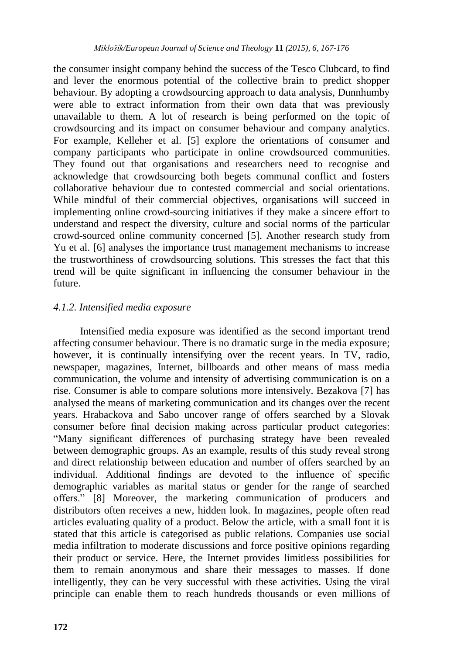the consumer insight company behind the success of the Tesco Clubcard, to find and lever the enormous potential of the collective brain to predict shopper behaviour. By adopting a crowdsourcing approach to data analysis, Dunnhumby were able to extract information from their own data that was previously unavailable to them. A lot of research is being performed on the topic of crowdsourcing and its impact on consumer behaviour and company analytics. For example, Kelleher et al. [5] explore the orientations of consumer and company participants who participate in online crowdsourced communities. They found out that organisations and researchers need to recognise and acknowledge that crowdsourcing both begets communal conflict and fosters collaborative behaviour due to contested commercial and social orientations. While mindful of their commercial objectives, organisations will succeed in implementing online crowd-sourcing initiatives if they make a sincere effort to understand and respect the diversity, culture and social norms of the particular crowd-sourced online community concerned [5]. Another research study from Yu et al. [6] analyses the importance trust management mechanisms to increase the trustworthiness of crowdsourcing solutions. This stresses the fact that this trend will be quite significant in influencing the consumer behaviour in the future.

## *4.1.2. Intensified media exposure*

Intensified media exposure was identified as the second important trend affecting consumer behaviour. There is no dramatic surge in the media exposure; however, it is continually intensifying over the recent years. In TV, radio, newspaper, magazines, Internet, billboards and other means of mass media communication, the volume and intensity of advertising communication is on a rise. Consumer is able to compare solutions more intensively. Bezakova [7] has analysed the means of marketing communication and its changes over the recent years. Hrabackova and Sabo uncover range of offers searched by a Slovak consumer before final decision making across particular product categories: "Many significant differences of purchasing strategy have been revealed between demographic groups. As an example, results of this study reveal strong and direct relationship between education and number of offers searched by an individual. Additional findings are devoted to the influence of specific demographic variables as marital status or gender for the range of searched offers." [8] Moreover, the marketing communication of producers and distributors often receives a new, hidden look. In magazines, people often read articles evaluating quality of a product. Below the article, with a small font it is stated that this article is categorised as public relations. Companies use social media infiltration to moderate discussions and force positive opinions regarding their product or service. Here, the Internet provides limitless possibilities for them to remain anonymous and share their messages to masses. If done intelligently, they can be very successful with these activities. Using the viral principle can enable them to reach hundreds thousands or even millions of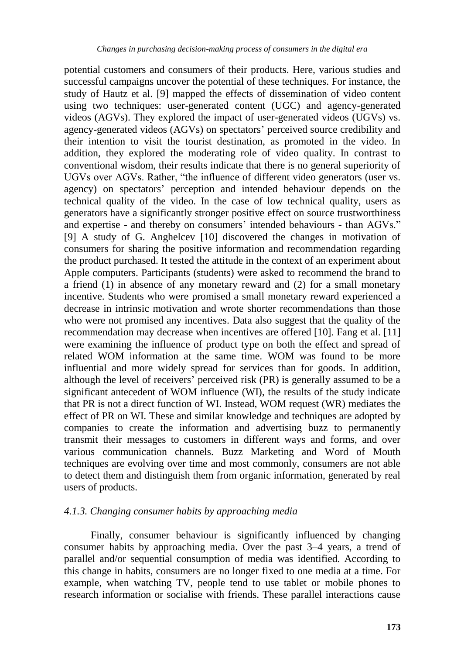potential customers and consumers of their products. Here, various studies and successful campaigns uncover the potential of these techniques. For instance, the study of Hautz et al. [9] mapped the effects of dissemination of video content using two techniques: user-generated content (UGC) and agency-generated videos (AGVs). They explored the impact of user-generated videos (UGVs) vs. agency-generated videos (AGVs) on spectators' perceived source credibility and their intention to visit the tourist destination, as promoted in the video. In addition, they explored the moderating role of video quality. In contrast to conventional wisdom, their results indicate that there is no general superiority of UGVs over AGVs. Rather, "the influence of different video generators (user vs. agency) on spectators" perception and intended behaviour depends on the technical quality of the video. In the case of low technical quality, users as generators have a significantly stronger positive effect on source trustworthiness and expertise - and thereby on consumers' intended behaviours - than AGVs." [9] A study of G. Anghelcev [10] discovered the changes in motivation of consumers for sharing the positive information and recommendation regarding the product purchased. It tested the attitude in the context of an experiment about Apple computers. Participants (students) were asked to recommend the brand to a friend (1) in absence of any monetary reward and (2) for a small monetary incentive. Students who were promised a small monetary reward experienced a decrease in intrinsic motivation and wrote shorter recommendations than those who were not promised any incentives. Data also suggest that the quality of the recommendation may decrease when incentives are offered [10]. Fang et al. [11] were examining the influence of product type on both the effect and spread of related WOM information at the same time. WOM was found to be more influential and more widely spread for services than for goods. In addition, although the level of receivers" perceived risk (PR) is generally assumed to be a significant antecedent of WOM influence (WI), the results of the study indicate that PR is not a direct function of WI. Instead, WOM request (WR) mediates the effect of PR on WI. These and similar knowledge and techniques are adopted by companies to create the information and advertising buzz to permanently transmit their messages to customers in different ways and forms, and over various communication channels. Buzz Marketing and Word of Mouth techniques are evolving over time and most commonly, consumers are not able to detect them and distinguish them from organic information, generated by real users of products.

#### *4.1.3. Changing consumer habits by approaching media*

Finally, consumer behaviour is significantly influenced by changing consumer habits by approaching media. Over the past 3–4 years, a trend of parallel and/or sequential consumption of media was identified. According to this change in habits, consumers are no longer fixed to one media at a time. For example, when watching TV, people tend to use tablet or mobile phones to research information or socialise with friends. These parallel interactions cause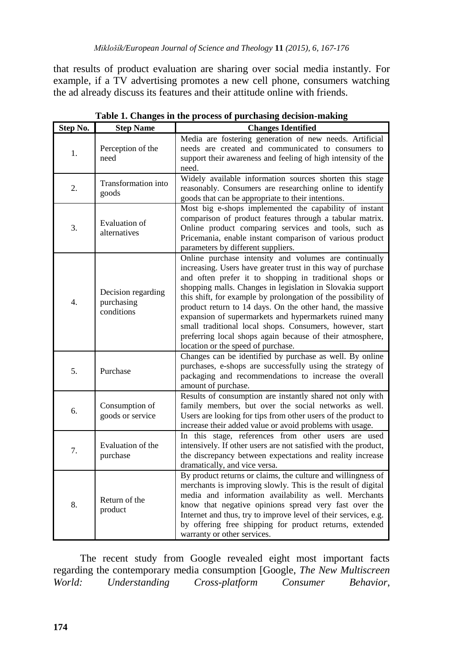that results of product evaluation are sharing over social media instantly. For example, if a TV advertising promotes a new cell phone, consumers watching the ad already discuss its features and their attitude online with friends.

| Step No.         | <b>Step Name</b>                               | <b>Changes Identified</b>                                                                                                                                                                                                                                                                                                                                                                                                                                                                                                                                                                             |
|------------------|------------------------------------------------|-------------------------------------------------------------------------------------------------------------------------------------------------------------------------------------------------------------------------------------------------------------------------------------------------------------------------------------------------------------------------------------------------------------------------------------------------------------------------------------------------------------------------------------------------------------------------------------------------------|
| 1.               | Perception of the<br>need                      | Media are fostering generation of new needs. Artificial<br>needs are created and communicated to consumers to<br>support their awareness and feeling of high intensity of the<br>need.                                                                                                                                                                                                                                                                                                                                                                                                                |
| 2.               | Transformation into<br>goods                   | Widely available information sources shorten this stage<br>reasonably. Consumers are researching online to identify<br>goods that can be appropriate to their intentions.                                                                                                                                                                                                                                                                                                                                                                                                                             |
| 3.               | Evaluation of<br>alternatives                  | Most big e-shops implemented the capability of instant<br>comparison of product features through a tabular matrix.<br>Online product comparing services and tools, such as<br>Pricemania, enable instant comparison of various product<br>parameters by different suppliers.                                                                                                                                                                                                                                                                                                                          |
| $\overline{4}$ . | Decision regarding<br>purchasing<br>conditions | Online purchase intensity and volumes are continually<br>increasing. Users have greater trust in this way of purchase<br>and often prefer it to shopping in traditional shops or<br>shopping malls. Changes in legislation in Slovakia support<br>this shift, for example by prolongation of the possibility of<br>product return to 14 days. On the other hand, the massive<br>expansion of supermarkets and hypermarkets ruined many<br>small traditional local shops. Consumers, however, start<br>preferring local shops again because of their atmosphere,<br>location or the speed of purchase. |
| 5.               | Purchase                                       | Changes can be identified by purchase as well. By online<br>purchases, e-shops are successfully using the strategy of<br>packaging and recommendations to increase the overall<br>amount of purchase.                                                                                                                                                                                                                                                                                                                                                                                                 |
| б.               | Consumption of<br>goods or service             | Results of consumption are instantly shared not only with<br>family members, but over the social networks as well.<br>Users are looking for tips from other users of the product to<br>increase their added value or avoid problems with usage.                                                                                                                                                                                                                                                                                                                                                       |
| 7.               | Evaluation of the<br>purchase                  | In this stage, references from other users are used<br>intensively. If other users are not satisfied with the product,<br>the discrepancy between expectations and reality increase<br>dramatically, and vice versa.                                                                                                                                                                                                                                                                                                                                                                                  |
| 8.               | Return of the<br>product                       | By product returns or claims, the culture and willingness of<br>merchants is improving slowly. This is the result of digital<br>media and information availability as well. Merchants<br>know that negative opinions spread very fast over the<br>Internet and thus, try to improve level of their services, e.g.<br>by offering free shipping for product returns, extended<br>warranty or other services.                                                                                                                                                                                           |

**Table 1. Changes in the process of purchasing decision-making**

The recent study from Google revealed eight most important facts regarding the contemporary media consumption [Google, *The New Multiscreen World: Understanding Cross-platform Consumer Behavior*,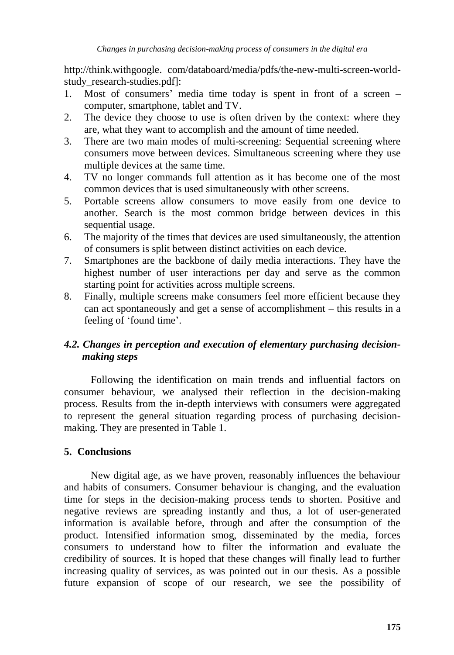http://think.withgoogle. com/databoard/media/pdfs/the-new-multi-screen-worldstudy\_research-studies.pdf]:

- 1. Most of consumers" media time today is spent in front of a screen computer, smartphone, tablet and TV.
- 2. The device they choose to use is often driven by the context: where they are, what they want to accomplish and the amount of time needed.
- 3. There are two main modes of multi-screening: Sequential screening where consumers move between devices. Simultaneous screening where they use multiple devices at the same time.
- 4. TV no longer commands full attention as it has become one of the most common devices that is used simultaneously with other screens.
- 5. Portable screens allow consumers to move easily from one device to another. Search is the most common bridge between devices in this sequential usage.
- 6. The majority of the times that devices are used simultaneously, the attention of consumers is split between distinct activities on each device.
- 7. Smartphones are the backbone of daily media interactions. They have the highest number of user interactions per day and serve as the common starting point for activities across multiple screens.
- 8. Finally, multiple screens make consumers feel more efficient because they can act spontaneously and get a sense of accomplishment – this results in a feeling of 'found time'.

## *4.2. Changes in perception and execution of elementary purchasing decision making steps*

Following the identification on main trends and influential factors on consumer behaviour, we analysed their reflection in the decision-making process. Results from the in-depth interviews with consumers were aggregated to represent the general situation regarding process of purchasing decisionmaking. They are presented in Table 1.

## **5. Conclusions**

New digital age, as we have proven, reasonably influences the behaviour and habits of consumers. Consumer behaviour is changing, and the evaluation time for steps in the decision-making process tends to shorten. Positive and negative reviews are spreading instantly and thus, a lot of user-generated information is available before, through and after the consumption of the product. Intensified information smog, disseminated by the media, forces consumers to understand how to filter the information and evaluate the credibility of sources. It is hoped that these changes will finally lead to further increasing quality of services, as was pointed out in our thesis. As a possible future expansion of scope of our research, we see the possibility of